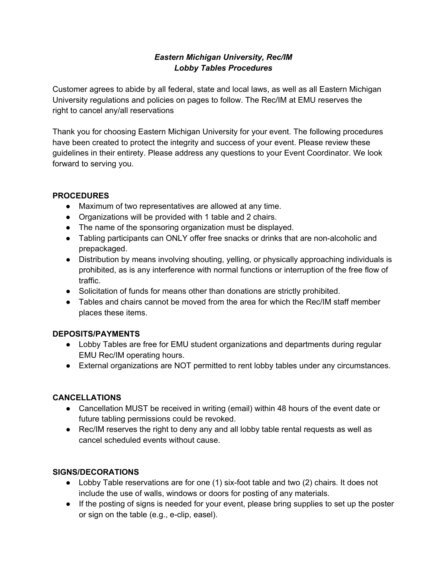## *Eastern Michigan University, Rec/IM Lobby Tables Procedures*

Customer agrees to abide by all federal, state and local laws, as well as all Eastern Michigan University regulations and policies on pages to follow. The Rec/IM at EMU reserves the right to cancel any/all reservations

Thank you for choosing Eastern Michigan University for your event. The following procedures have been created to protect the integrity and success of your event. Please review these guidelines in their entirety. Please address any questions to your Event Coordinator. We look forward to serving you.

## **PROCEDURES**

- Maximum of two representatives are allowed at any time.
- Organizations will be provided with 1 table and 2 chairs.
- The name of the sponsoring organization must be displayed.
- Tabling participants can ONLY offer free snacks or drinks that are non-alcoholic and prepackaged.
- Distribution by means involving shouting, yelling, or physically approaching individuals is prohibited, as is any interference with normal functions or interruption of the free flow of traffic.
- Solicitation of funds for means other than donations are strictly prohibited.
- Tables and chairs cannot be moved from the area for which the Rec/IM staff member places these items.

# **DEPOSITS/PAYMENTS**

- Lobby Tables are free for EMU student organizations and departments during regular EMU Rec/IM operating hours.
- External organizations are NOT permitted to rent lobby tables under any circumstances.

## **CANCELLATIONS**

- Cancellation MUST be received in writing (email) within 48 hours of the event date or future tabling permissions could be revoked.
- Rec/IM reserves the right to deny any and all lobby table rental requests as well as cancel scheduled events without cause.

## **SIGNS/DECORATIONS**

- Lobby Table reservations are for one (1) six-foot table and two (2) chairs. It does not include the use of walls, windows or doors for posting of any materials.
- If the posting of signs is needed for your event, please bring supplies to set up the poster or sign on the table (e.g., e-clip, easel).